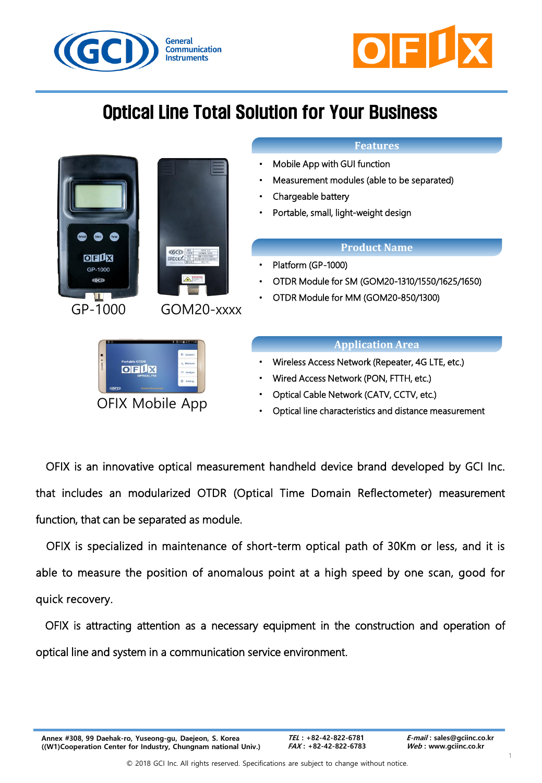



# Optical Line Total Solution for Your Business



### **Features**

- Mobile App with GUI function
- Measurement modules (able to be separated)
- Chargeable battery
- Portable, small, light-weight design

### **Product Name**

- Platform (GP-1000)
- OTDR Module for SM (GOM20-1310/1550/1625/1650)
- OTDR Module for MM (GOM20-850/1300)

### **Application Area**

- Wireless Access Network (Repeater, 4G LTE, etc.)
- Wired Access Network (PON, FTTH, etc.)
- Optical Cable Network (CATV, CCTV, etc.)
- Optical line characteristics and distance measurement

OFIX is an innovative optical measurement handheld device brand developed by GCI Inc. that includes an modularized OTDR (Optical Time Domain Reflectometer) measurement function, that can be separated as module.

OFIX is specialized in maintenance of short-term optical path of 30Km or less, and it is able to measure the position of anomalous point at a high speed by one scan, good for quick recovery.

OFIX is attracting attention as a necessary equipment in the construction and operation of optical line and system in a communication service environment.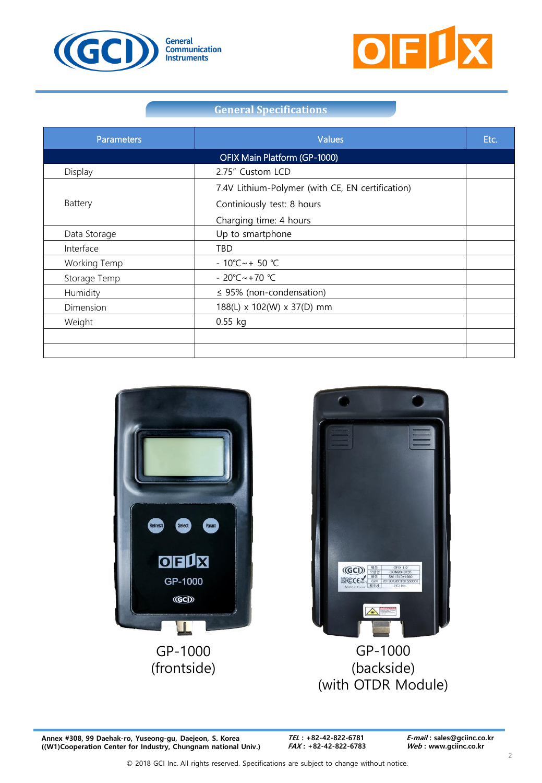



# **General Specifications**

| <b>Parameters</b> | Values                                           | Etc. |  |  |  |
|-------------------|--------------------------------------------------|------|--|--|--|
|                   | OFIX Main Platform (GP-1000)                     |      |  |  |  |
| Display           | 2.75" Custom LCD                                 |      |  |  |  |
|                   | 7.4V Lithium-Polymer (with CE, EN certification) |      |  |  |  |
| Battery           | Continiously test: 8 hours                       |      |  |  |  |
|                   | Charging time: 4 hours                           |      |  |  |  |
| Data Storage      | Up to smartphone                                 |      |  |  |  |
| Interface         | <b>TBD</b>                                       |      |  |  |  |
| Working Temp      | $-10^{\circ}$ C ~ + 50 °C                        |      |  |  |  |
| Storage Temp      | $-20^{\circ}$ C ~ +70 $^{\circ}$ C               |      |  |  |  |
| Humidity          | $\leq$ 95% (non-condensation)                    |      |  |  |  |
| Dimension         | 188(L) x 102(W) x 37(D) mm                       |      |  |  |  |
| Weight            | $0.55$ kg                                        |      |  |  |  |
|                   |                                                  |      |  |  |  |
|                   |                                                  |      |  |  |  |



GP-1000 (frontside)



GP-1000 (backside) (with OTDR Module)

**Annex #308, 99 Daehak-ro, Yuseong-gu, Daejeon, S. Korea ((W1)Cooperation Center for Industry, Chungnam national Univ.)**

**TEL : +82-42-822-6781 FAX : +82-42-822-6783**  **E-mail : sales@gciinc.co.kr Web : www.gciinc.co.kr**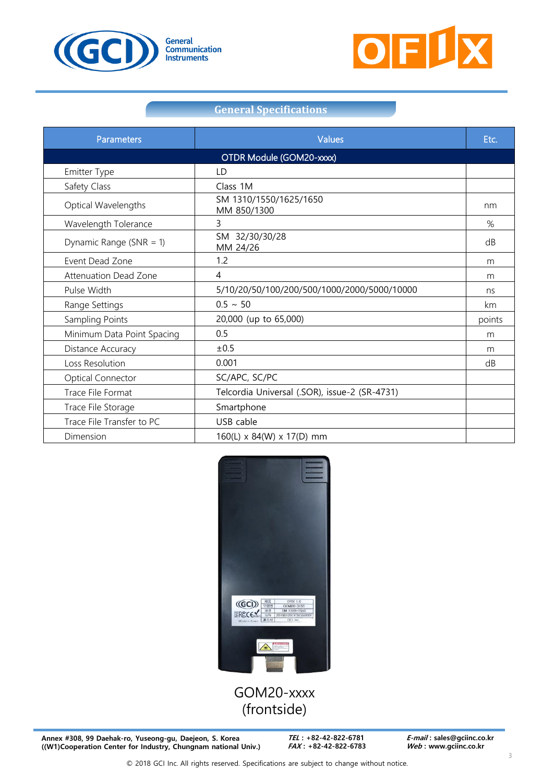



# **General Specifications**

| <b>Parameters</b>          | Values                                        | Etc.   |  |  |
|----------------------------|-----------------------------------------------|--------|--|--|
| OTDR Module (GOM20-xxxx)   |                                               |        |  |  |
| <b>Emitter Type</b>        | LD                                            |        |  |  |
| Safety Class               | Class 1M                                      |        |  |  |
| Optical Wavelengths        | SM 1310/1550/1625/1650<br>MM 850/1300         | nm     |  |  |
| Wavelength Tolerance       | 3                                             | %      |  |  |
| Dynamic Range (SNR = $1$ ) | SM 32/30/30/28<br>MM 24/26                    | dB     |  |  |
| Event Dead Zone            | 1.2                                           | m      |  |  |
| Attenuation Dead Zone      | 4                                             | m      |  |  |
| Pulse Width                | 5/10/20/50/100/200/500/1000/2000/5000/10000   | ns     |  |  |
| Range Settings             | $0.5 \sim 50$                                 | km     |  |  |
| Sampling Points            | 20,000 (up to 65,000)                         | points |  |  |
| Minimum Data Point Spacing | 0.5                                           | m      |  |  |
| Distance Accuracy          | ±0.5                                          | m      |  |  |
| Loss Resolution            | 0.001                                         | dB     |  |  |
| <b>Optical Connector</b>   | SC/APC, SC/PC                                 |        |  |  |
| Trace File Format          | Telcordia Universal (.SOR), issue-2 (SR-4731) |        |  |  |
| Trace File Storage         | Smartphone                                    |        |  |  |
| Trace File Transfer to PC  | USB cable                                     |        |  |  |
| Dimension                  | 160(L) x 84(W) x 17(D) mm                     |        |  |  |



# GOM20-xxxx (frontside)

**Annex #308, 99 Daehak-ro, Yuseong-gu, Daejeon, S. Korea ((W1)Cooperation Center for Industry, Chungnam national Univ.)**

**TEL : +82-42-822-6781 FAX : +82-42-822-6783**  **E-mail : sales@gciinc.co.kr Web : www.gciinc.co.kr**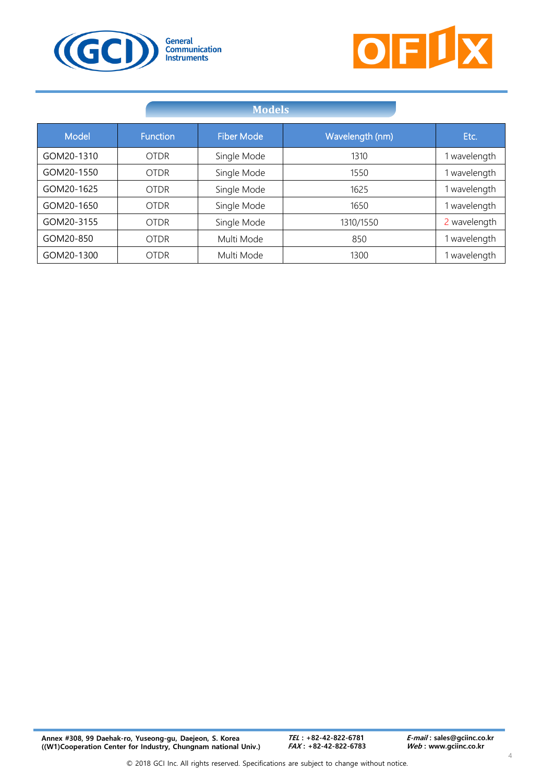



|            | <b>Models</b>   |                   |                 |              |
|------------|-----------------|-------------------|-----------------|--------------|
| Model      | <b>Function</b> | <b>Fiber Mode</b> | Wavelength (nm) | Etc.         |
| GOM20-1310 | <b>OTDR</b>     | Single Mode       | 1310            | wavelength   |
| GOM20-1550 | <b>OTDR</b>     | Single Mode       | 1550            | wavelength   |
| GOM20-1625 | <b>OTDR</b>     | Single Mode       | 1625            | wavelength   |
| GOM20-1650 | <b>OTDR</b>     | Single Mode       | 1650            | wavelength   |
| GOM20-3155 | <b>OTDR</b>     | Single Mode       | 1310/1550       | 2 wavelength |
| GOM20-850  | <b>OTDR</b>     | Multi Mode        | 850             | wavelength   |
| GOM20-1300 | <b>OTDR</b>     | Multi Mode        | 1300            | wavelength   |

4